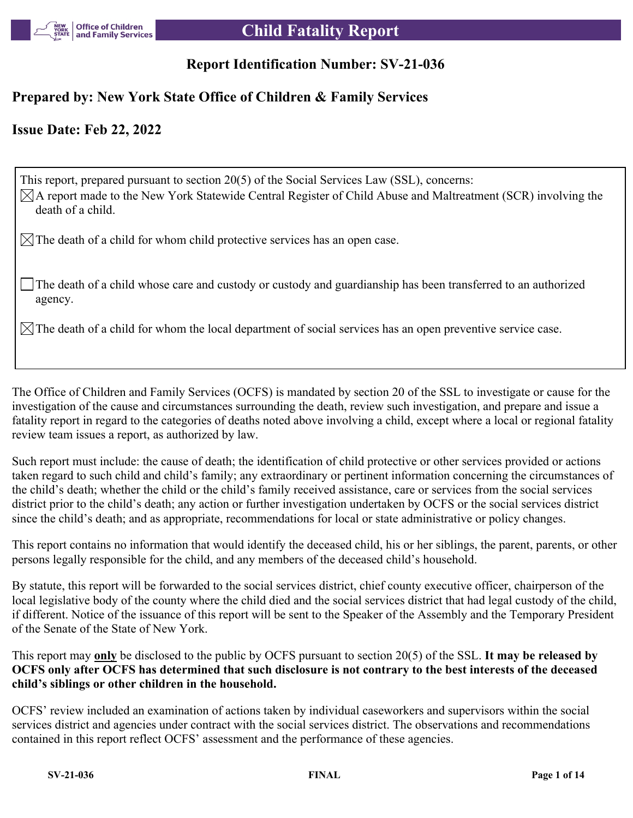

# **Report Identification Number: SV-21-036**

## **Prepared by: New York State Office of Children & Family Services**

## **Issue Date: Feb 22, 2022**

This report, prepared pursuant to section 20(5) of the Social Services Law (SSL), concerns:  $\boxtimes$ A report made to the New York Statewide Central Register of Child Abuse and Maltreatment (SCR) involving the death of a child.

 $\boxtimes$  The death of a child for whom child protective services has an open case.

The death of a child whose care and custody or custody and guardianship has been transferred to an authorized agency.

 $\boxtimes$  The death of a child for whom the local department of social services has an open preventive service case.

The Office of Children and Family Services (OCFS) is mandated by section 20 of the SSL to investigate or cause for the investigation of the cause and circumstances surrounding the death, review such investigation, and prepare and issue a fatality report in regard to the categories of deaths noted above involving a child, except where a local or regional fatality review team issues a report, as authorized by law.

Such report must include: the cause of death; the identification of child protective or other services provided or actions taken regard to such child and child's family; any extraordinary or pertinent information concerning the circumstances of the child's death; whether the child or the child's family received assistance, care or services from the social services district prior to the child's death; any action or further investigation undertaken by OCFS or the social services district since the child's death; and as appropriate, recommendations for local or state administrative or policy changes.

This report contains no information that would identify the deceased child, his or her siblings, the parent, parents, or other persons legally responsible for the child, and any members of the deceased child's household.

By statute, this report will be forwarded to the social services district, chief county executive officer, chairperson of the local legislative body of the county where the child died and the social services district that had legal custody of the child, if different. Notice of the issuance of this report will be sent to the Speaker of the Assembly and the Temporary President of the Senate of the State of New York.

This report may **only** be disclosed to the public by OCFS pursuant to section 20(5) of the SSL. **It may be released by OCFS only after OCFS has determined that such disclosure is not contrary to the best interests of the deceased child's siblings or other children in the household.**

OCFS' review included an examination of actions taken by individual caseworkers and supervisors within the social services district and agencies under contract with the social services district. The observations and recommendations contained in this report reflect OCFS' assessment and the performance of these agencies.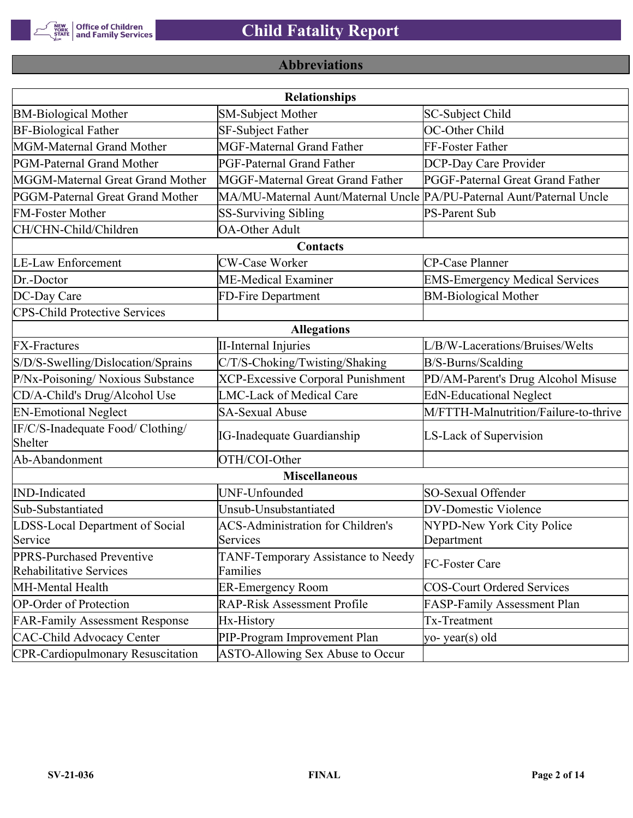

# **Abbreviations**

| <b>Relationships</b>                                 |                                                                       |                                       |  |  |  |  |
|------------------------------------------------------|-----------------------------------------------------------------------|---------------------------------------|--|--|--|--|
| <b>BM-Biological Mother</b>                          | <b>SM-Subject Mother</b>                                              | SC-Subject Child                      |  |  |  |  |
| <b>BF-Biological Father</b>                          | SF-Subject Father                                                     | OC-Other Child                        |  |  |  |  |
| MGM-Maternal Grand Mother                            | <b>MGF-Maternal Grand Father</b>                                      | FF-Foster Father                      |  |  |  |  |
| PGM-Paternal Grand Mother                            | <b>PGF-Paternal Grand Father</b>                                      | DCP-Day Care Provider                 |  |  |  |  |
| MGGM-Maternal Great Grand Mother                     | MGGF-Maternal Great Grand Father                                      | PGGF-Paternal Great Grand Father      |  |  |  |  |
| PGGM-Paternal Great Grand Mother                     | MA/MU-Maternal Aunt/Maternal Uncle PA/PU-Paternal Aunt/Paternal Uncle |                                       |  |  |  |  |
| <b>FM-Foster Mother</b>                              | <b>SS-Surviving Sibling</b>                                           | <b>PS-Parent Sub</b>                  |  |  |  |  |
| CH/CHN-Child/Children                                | <b>OA-Other Adult</b>                                                 |                                       |  |  |  |  |
|                                                      | Contacts                                                              |                                       |  |  |  |  |
| <b>LE-Law Enforcement</b>                            | <b>CW-Case Worker</b>                                                 | CP-Case Planner                       |  |  |  |  |
| Dr.-Doctor                                           | ME-Medical Examiner                                                   | <b>EMS-Emergency Medical Services</b> |  |  |  |  |
| DC-Day Care                                          | FD-Fire Department                                                    | <b>BM-Biological Mother</b>           |  |  |  |  |
| <b>CPS-Child Protective Services</b>                 |                                                                       |                                       |  |  |  |  |
|                                                      | <b>Allegations</b>                                                    |                                       |  |  |  |  |
| <b>FX-Fractures</b>                                  | <b>II-Internal Injuries</b>                                           | L/B/W-Lacerations/Bruises/Welts       |  |  |  |  |
| S/D/S-Swelling/Dislocation/Sprains                   | C/T/S-Choking/Twisting/Shaking                                        | B/S-Burns/Scalding                    |  |  |  |  |
| P/Nx-Poisoning/ Noxious Substance                    | <b>XCP-Excessive Corporal Punishment</b>                              | PD/AM-Parent's Drug Alcohol Misuse    |  |  |  |  |
| CD/A-Child's Drug/Alcohol Use                        | <b>LMC-Lack of Medical Care</b>                                       | <b>EdN-Educational Neglect</b>        |  |  |  |  |
| <b>EN-Emotional Neglect</b>                          | <b>SA-Sexual Abuse</b>                                                | M/FTTH-Malnutrition/Failure-to-thrive |  |  |  |  |
| IF/C/S-Inadequate Food/ Clothing/<br>Shelter         | <b>IG-Inadequate Guardianship</b>                                     | LS-Lack of Supervision                |  |  |  |  |
| Ab-Abandonment                                       | OTH/COI-Other                                                         |                                       |  |  |  |  |
|                                                      | <b>Miscellaneous</b>                                                  |                                       |  |  |  |  |
| <b>IND-Indicated</b>                                 | UNF-Unfounded                                                         | SO-Sexual Offender                    |  |  |  |  |
| Sub-Substantiated                                    | Unsub-Unsubstantiated                                                 | <b>DV-Domestic Violence</b>           |  |  |  |  |
| LDSS-Local Department of Social                      | <b>ACS-Administration for Children's</b>                              | NYPD-New York City Police             |  |  |  |  |
| Service                                              | Services                                                              | Department                            |  |  |  |  |
| PPRS-Purchased Preventive<br>Rehabilitative Services | TANF-Temporary Assistance to Needy<br>Families                        | FC-Foster Care                        |  |  |  |  |
| MH-Mental Health                                     | <b>ER-Emergency Room</b>                                              | <b>COS-Court Ordered Services</b>     |  |  |  |  |
| <b>OP-Order of Protection</b>                        | <b>RAP-Risk Assessment Profile</b>                                    | FASP-Family Assessment Plan           |  |  |  |  |
| <b>FAR-Family Assessment Response</b>                | Hx-History                                                            | Tx-Treatment                          |  |  |  |  |
| <b>CAC-Child Advocacy Center</b>                     | PIP-Program Improvement Plan                                          | yo-year(s) old                        |  |  |  |  |
| <b>CPR-Cardiopulmonary Resuscitation</b>             | ASTO-Allowing Sex Abuse to Occur                                      |                                       |  |  |  |  |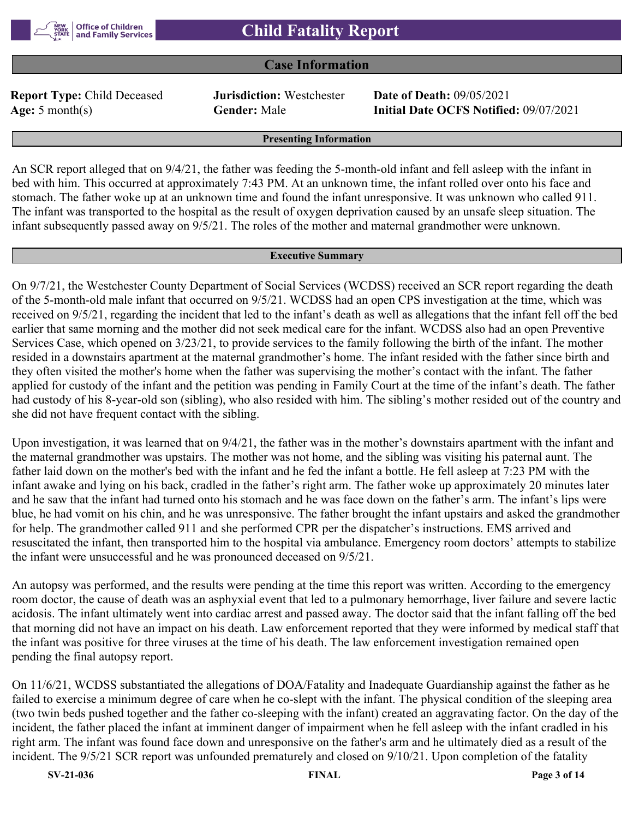

### **Case Information**

**Report Type:** Child Deceased **Jurisdiction:** Westchester **Date of Death:** 09/05/2021

**Age:** 5 month(s) **Gender:** Male **Initial Date OCFS Notified:** 09/07/2021

#### **Presenting Information**

An SCR report alleged that on 9/4/21, the father was feeding the 5-month-old infant and fell asleep with the infant in bed with him. This occurred at approximately 7:43 PM. At an unknown time, the infant rolled over onto his face and stomach. The father woke up at an unknown time and found the infant unresponsive. It was unknown who called 911. The infant was transported to the hospital as the result of oxygen deprivation caused by an unsafe sleep situation. The infant subsequently passed away on 9/5/21. The roles of the mother and maternal grandmother were unknown.

#### **Executive Summary**

On 9/7/21, the Westchester County Department of Social Services (WCDSS) received an SCR report regarding the death of the 5-month-old male infant that occurred on 9/5/21. WCDSS had an open CPS investigation at the time, which was received on 9/5/21, regarding the incident that led to the infant's death as well as allegations that the infant fell off the bed earlier that same morning and the mother did not seek medical care for the infant. WCDSS also had an open Preventive Services Case, which opened on 3/23/21, to provide services to the family following the birth of the infant. The mother resided in a downstairs apartment at the maternal grandmother's home. The infant resided with the father since birth and they often visited the mother's home when the father was supervising the mother's contact with the infant. The father applied for custody of the infant and the petition was pending in Family Court at the time of the infant's death. The father had custody of his 8-year-old son (sibling), who also resided with him. The sibling's mother resided out of the country and she did not have frequent contact with the sibling.

Upon investigation, it was learned that on 9/4/21, the father was in the mother's downstairs apartment with the infant and the maternal grandmother was upstairs. The mother was not home, and the sibling was visiting his paternal aunt. The father laid down on the mother's bed with the infant and he fed the infant a bottle. He fell asleep at 7:23 PM with the infant awake and lying on his back, cradled in the father's right arm. The father woke up approximately 20 minutes later and he saw that the infant had turned onto his stomach and he was face down on the father's arm. The infant's lips were blue, he had vomit on his chin, and he was unresponsive. The father brought the infant upstairs and asked the grandmother for help. The grandmother called 911 and she performed CPR per the dispatcher's instructions. EMS arrived and resuscitated the infant, then transported him to the hospital via ambulance. Emergency room doctors' attempts to stabilize the infant were unsuccessful and he was pronounced deceased on 9/5/21.

An autopsy was performed, and the results were pending at the time this report was written. According to the emergency room doctor, the cause of death was an asphyxial event that led to a pulmonary hemorrhage, liver failure and severe lactic acidosis. The infant ultimately went into cardiac arrest and passed away. The doctor said that the infant falling off the bed that morning did not have an impact on his death. Law enforcement reported that they were informed by medical staff that the infant was positive for three viruses at the time of his death. The law enforcement investigation remained open pending the final autopsy report.

On 11/6/21, WCDSS substantiated the allegations of DOA/Fatality and Inadequate Guardianship against the father as he failed to exercise a minimum degree of care when he co-slept with the infant. The physical condition of the sleeping area (two twin beds pushed together and the father co-sleeping with the infant) created an aggravating factor. On the day of the incident, the father placed the infant at imminent danger of impairment when he fell asleep with the infant cradled in his right arm. The infant was found face down and unresponsive on the father's arm and he ultimately died as a result of the incident. The 9/5/21 SCR report was unfounded prematurely and closed on 9/10/21. Upon completion of the fatality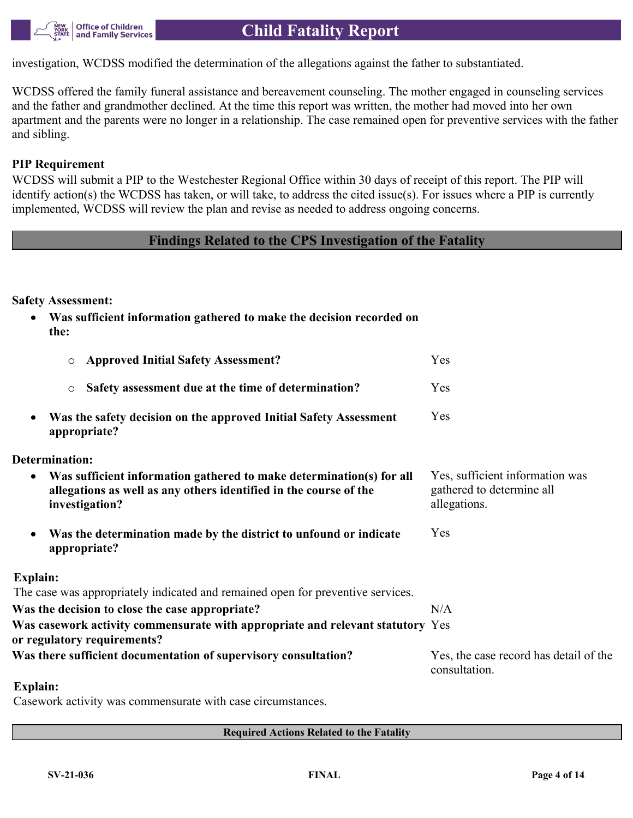

investigation, WCDSS modified the determination of the allegations against the father to substantiated.

WCDSS offered the family funeral assistance and bereavement counseling. The mother engaged in counseling services and the father and grandmother declined. At the time this report was written, the mother had moved into her own apartment and the parents were no longer in a relationship. The case remained open for preventive services with the father and sibling.

### **PIP Requirement**

WCDSS will submit a PIP to the Westchester Regional Office within 30 days of receipt of this report. The PIP will identify action(s) the WCDSS has taken, or will take, to address the cited issue(s). For issues where a PIP is currently implemented, WCDSS will review the plan and revise as needed to address ongoing concerns.

### **Findings Related to the CPS Investigation of the Fatality**

**Safety Assessment:**

 **Was sufficient information gathered to make the decision recorded on the:**

| <b>Approved Initial Safety Assessment?</b><br>$\circ$                                                                                                                    | Yes                                                                          |
|--------------------------------------------------------------------------------------------------------------------------------------------------------------------------|------------------------------------------------------------------------------|
| Safety assessment due at the time of determination?<br>$\circlearrowright$                                                                                               | Yes                                                                          |
| Was the safety decision on the approved Initial Safety Assessment<br>$\bullet$<br>appropriate?                                                                           | Yes                                                                          |
| Determination:                                                                                                                                                           |                                                                              |
| Was sufficient information gathered to make determination(s) for all<br>$\bullet$<br>allegations as well as any others identified in the course of the<br>investigation? | Yes, sufficient information was<br>gathered to determine all<br>allegations. |
| Was the determination made by the district to unfound or indicate<br>$\bullet$<br>appropriate?                                                                           | Yes                                                                          |
| Explain:                                                                                                                                                                 |                                                                              |
| The case was appropriately indicated and remained open for preventive services.                                                                                          |                                                                              |
| Was the decision to close the case appropriate?                                                                                                                          | N/A                                                                          |
| Was casework activity commensurate with appropriate and relevant statutory Yes<br>or regulatory requirements?                                                            |                                                                              |
| Was there sufficient documentation of supervisory consultation?                                                                                                          | Yes, the case record has detail of the<br>consultation.                      |
| <b>Explain:</b>                                                                                                                                                          |                                                                              |
| Cocarrigate optimity was commonsurate with once oppured anon                                                                                                             |                                                                              |

Casework activity was commensurate with case circumstances.

**Required Actions Related to the Fatality**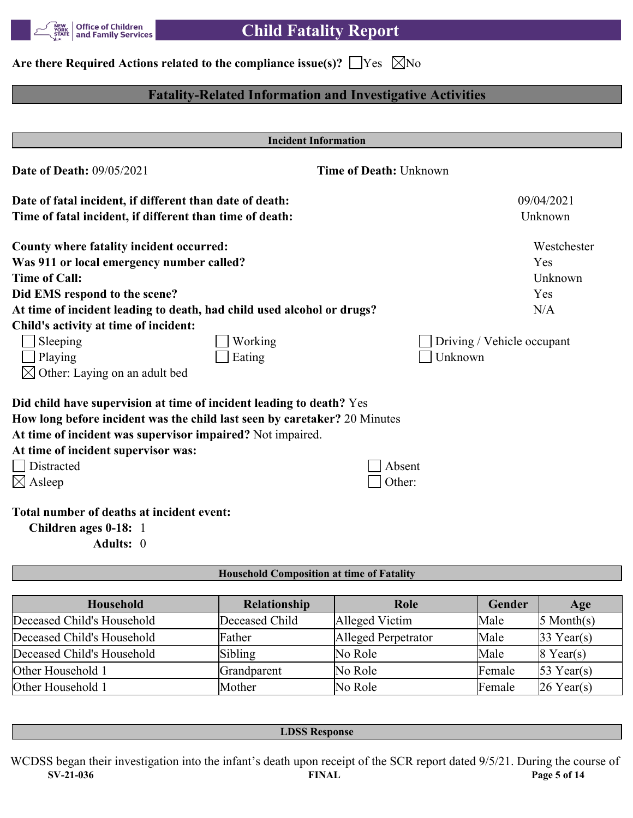

# Are there Required Actions related to the compliance issue(s)?  $\Box$  Yes  $\Box$  No

## **Fatality-Related Information and Investigative Activities**

| <b>Incident Information</b>                                                                                                                                                                                                                                          |                               |                                       |  |  |  |
|----------------------------------------------------------------------------------------------------------------------------------------------------------------------------------------------------------------------------------------------------------------------|-------------------------------|---------------------------------------|--|--|--|
| <b>Date of Death: 09/05/2021</b>                                                                                                                                                                                                                                     | <b>Time of Death: Unknown</b> |                                       |  |  |  |
| Date of fatal incident, if different than date of death:                                                                                                                                                                                                             |                               | 09/04/2021                            |  |  |  |
| Time of fatal incident, if different than time of death:                                                                                                                                                                                                             |                               | Unknown                               |  |  |  |
| County where fatality incident occurred:                                                                                                                                                                                                                             |                               | Westchester                           |  |  |  |
| Was 911 or local emergency number called?                                                                                                                                                                                                                            |                               | Yes                                   |  |  |  |
| <b>Time of Call:</b>                                                                                                                                                                                                                                                 |                               | Unknown                               |  |  |  |
| Did EMS respond to the scene?                                                                                                                                                                                                                                        |                               | Yes                                   |  |  |  |
| At time of incident leading to death, had child used alcohol or drugs?                                                                                                                                                                                               |                               | N/A                                   |  |  |  |
| Child's activity at time of incident:                                                                                                                                                                                                                                |                               |                                       |  |  |  |
| Sleeping<br>Working<br>Playing<br>Eating<br>Other: Laying on an adult bed                                                                                                                                                                                            |                               | Driving / Vehicle occupant<br>Unknown |  |  |  |
| Did child have supervision at time of incident leading to death? Yes<br>How long before incident was the child last seen by caretaker? 20 Minutes<br>At time of incident was supervisor impaired? Not impaired.<br>At time of incident supervisor was:<br>Distracted | Absent                        |                                       |  |  |  |
| $\boxtimes$ Asleep<br>Total number of deaths at incident event:<br>Children ages 0-18: 1<br>Adults: 0                                                                                                                                                                | Other:                        |                                       |  |  |  |
| <b>Household Composition at time of Fatality</b>                                                                                                                                                                                                                     |                               |                                       |  |  |  |

| <b>Household</b>           | <b>Relationship</b> | Role                | Gender | Age          |
|----------------------------|---------------------|---------------------|--------|--------------|
| Deceased Child's Household | Deceased Child      | Alleged Victim      | Male   | $5$ Month(s) |
| Deceased Child's Household | Father              | Alleged Perpetrator | Male   | $33$ Year(s) |
| Deceased Child's Household | Sibling             | No Role             | Male   | $8$ Year(s)  |
| Other Household 1          | Grandparent         | No Role             | Female | $53$ Year(s) |
| Other Household 1          | Mother              | No Role             | Female | $26$ Year(s) |

**LDSS Response**

**SV-21-036 FINAL Page 5 of 14** WCDSS began their investigation into the infant's death upon receipt of the SCR report dated 9/5/21. During the course of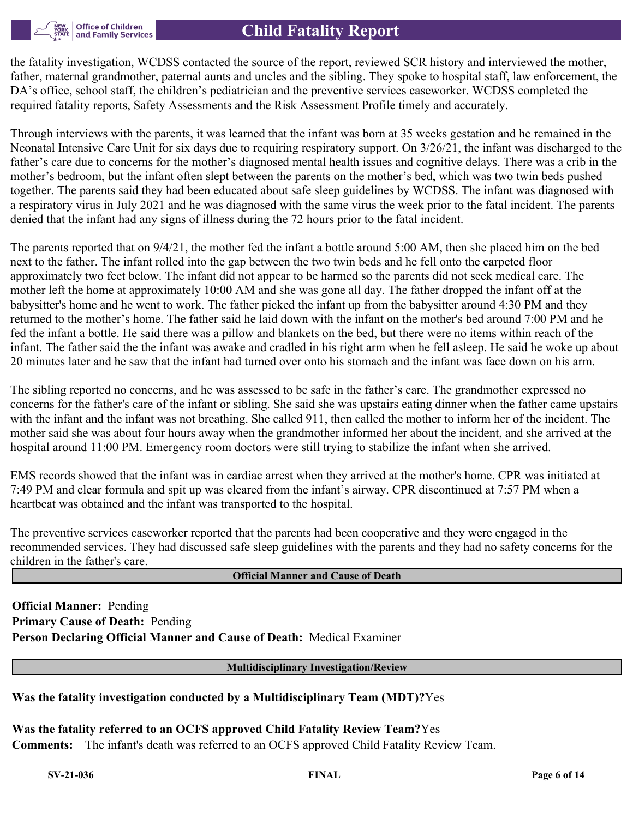

the fatality investigation, WCDSS contacted the source of the report, reviewed SCR history and interviewed the mother, father, maternal grandmother, paternal aunts and uncles and the sibling. They spoke to hospital staff, law enforcement, the DA's office, school staff, the children's pediatrician and the preventive services caseworker. WCDSS completed the required fatality reports, Safety Assessments and the Risk Assessment Profile timely and accurately.

Through interviews with the parents, it was learned that the infant was born at 35 weeks gestation and he remained in the Neonatal Intensive Care Unit for six days due to requiring respiratory support. On 3/26/21, the infant was discharged to the father's care due to concerns for the mother's diagnosed mental health issues and cognitive delays. There was a crib in the mother's bedroom, but the infant often slept between the parents on the mother's bed, which was two twin beds pushed together. The parents said they had been educated about safe sleep guidelines by WCDSS. The infant was diagnosed with a respiratory virus in July 2021 and he was diagnosed with the same virus the week prior to the fatal incident. The parents denied that the infant had any signs of illness during the 72 hours prior to the fatal incident.

The parents reported that on 9/4/21, the mother fed the infant a bottle around 5:00 AM, then she placed him on the bed next to the father. The infant rolled into the gap between the two twin beds and he fell onto the carpeted floor approximately two feet below. The infant did not appear to be harmed so the parents did not seek medical care. The mother left the home at approximately 10:00 AM and she was gone all day. The father dropped the infant off at the babysitter's home and he went to work. The father picked the infant up from the babysitter around 4:30 PM and they returned to the mother's home. The father said he laid down with the infant on the mother's bed around 7:00 PM and he fed the infant a bottle. He said there was a pillow and blankets on the bed, but there were no items within reach of the infant. The father said the the infant was awake and cradled in his right arm when he fell asleep. He said he woke up about 20 minutes later and he saw that the infant had turned over onto his stomach and the infant was face down on his arm.

The sibling reported no concerns, and he was assessed to be safe in the father's care. The grandmother expressed no concerns for the father's care of the infant or sibling. She said she was upstairs eating dinner when the father came upstairs with the infant and the infant was not breathing. She called 911, then called the mother to inform her of the incident. The mother said she was about four hours away when the grandmother informed her about the incident, and she arrived at the hospital around 11:00 PM. Emergency room doctors were still trying to stabilize the infant when she arrived.

EMS records showed that the infant was in cardiac arrest when they arrived at the mother's home. CPR was initiated at 7:49 PM and clear formula and spit up was cleared from the infant's airway. CPR discontinued at 7:57 PM when a heartbeat was obtained and the infant was transported to the hospital.

The preventive services caseworker reported that the parents had been cooperative and they were engaged in the recommended services. They had discussed safe sleep guidelines with the parents and they had no safety concerns for the children in the father's care.

### **Official Manner and Cause of Death**

**Official Manner:** Pending **Primary Cause of Death:** Pending **Person Declaring Official Manner and Cause of Death:** Medical Examiner

**Multidisciplinary Investigation/Review**

### **Was the fatality investigation conducted by a Multidisciplinary Team (MDT)?**Yes

**Was the fatality referred to an OCFS approved Child Fatality Review Team?**Yes **Comments:** The infant's death was referred to an OCFS approved Child Fatality Review Team.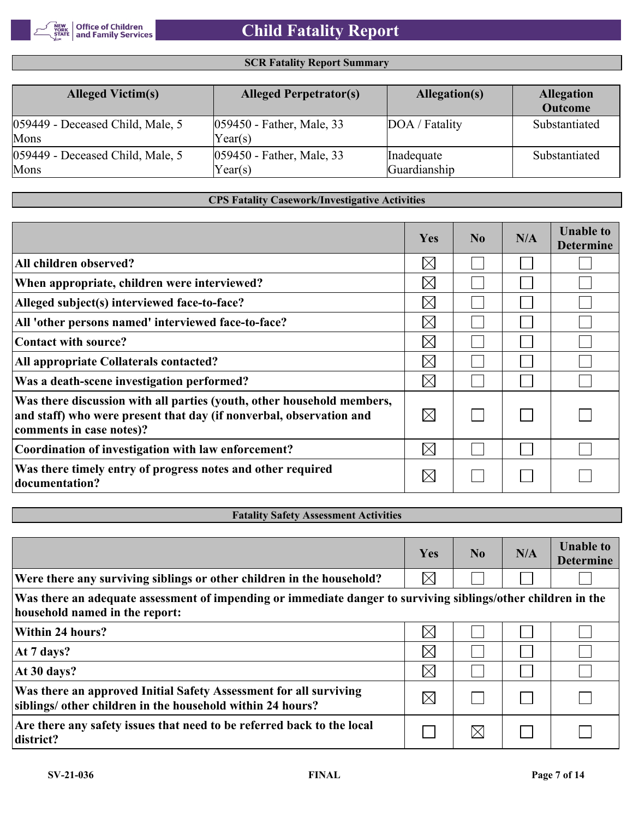

### **SCR Fatality Report Summary**

| <b>Alleged Victim(s)</b>                 | <b>Alleged Perpetrator(s)</b>        | Allegation(s)              | <b>Allegation</b><br><b>Outcome</b> |
|------------------------------------------|--------------------------------------|----------------------------|-------------------------------------|
| 059449 - Deceased Child, Male, 5<br>Mons | 059450 - Father, Male, 33<br>Year(s) | DOA / Fatality             | Substantiated                       |
| 059449 - Deceased Child, Male, 5<br>Mons | 059450 - Father, Male, 33<br>Year(s) | Inadequate<br>Guardianship | Substantiated                       |

### **CPS Fatality Casework/Investigative Activities**

|                                                                                                                                                                           | Yes         | N <sub>0</sub> | N/A | <b>Unable to</b><br><b>Determine</b> |
|---------------------------------------------------------------------------------------------------------------------------------------------------------------------------|-------------|----------------|-----|--------------------------------------|
| All children observed?                                                                                                                                                    | $\boxtimes$ |                |     |                                      |
| When appropriate, children were interviewed?                                                                                                                              | $\boxtimes$ |                |     |                                      |
| Alleged subject(s) interviewed face-to-face?                                                                                                                              | $\boxtimes$ |                |     |                                      |
| All 'other persons named' interviewed face-to-face?                                                                                                                       | $\boxtimes$ |                |     |                                      |
| Contact with source?                                                                                                                                                      | $\boxtimes$ |                |     |                                      |
| All appropriate Collaterals contacted?                                                                                                                                    | $\boxtimes$ |                |     |                                      |
| Was a death-scene investigation performed?                                                                                                                                | $\boxtimes$ |                |     |                                      |
| Was there discussion with all parties (youth, other household members,<br>and staff) who were present that day (if nonverbal, observation and<br>comments in case notes)? | $\boxtimes$ |                |     |                                      |
| Coordination of investigation with law enforcement?                                                                                                                       | $\boxtimes$ |                |     |                                      |
| Was there timely entry of progress notes and other required<br>documentation?                                                                                             | $\boxtimes$ |                |     |                                      |

### **Fatality Safety Assessment Activities**

|                                                                                                               | Yes         | $\bf No$ | N/A | <b>Unable to</b><br><b>Determine</b> |
|---------------------------------------------------------------------------------------------------------------|-------------|----------|-----|--------------------------------------|
| Were there any surviving siblings or other children in the household?                                         | $\boxtimes$ |          |     |                                      |
| Was there an adequate assessment of impending or immediate danger to surviving siblings/other children in the |             |          |     |                                      |

**household named in the report:**   $\boxtimes$ **Within 24 hours?** Ξ  $\mathbb{R}^2$  $\boxtimes$  $\Box$ **At 7 days?**  $\overline{\phantom{0}}$  $\boxtimes$  $\Box$ **At 30 days?**  $\Box$  $\overline{\phantom{a}}$ **Was there an approved Initial Safety Assessment for all surviving**   $\boxtimes$  $\Box$  $\Box$  $\Box$ **siblings/ other children in the household within 24 hours? Are there any safety issues that need to be referred back to the local**   $\boxtimes$  $\Box$  $\Box$  $\Box$ **district?**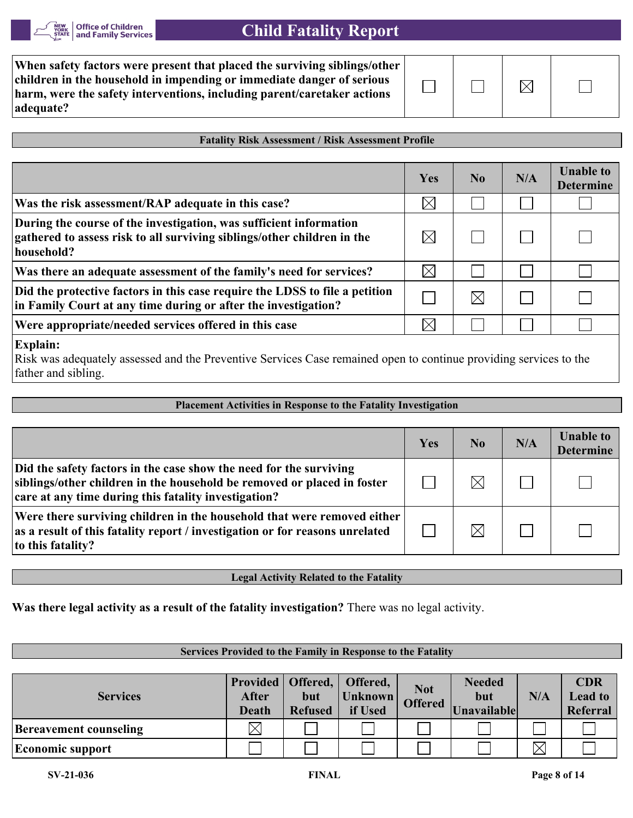

| When safety factors were present that placed the surviving siblings/other<br>children in the household in impending or immediate danger of serious<br>harm, were the safety interventions, including parent/caretaker actions<br>adequate? |  |
|--------------------------------------------------------------------------------------------------------------------------------------------------------------------------------------------------------------------------------------------|--|
|--------------------------------------------------------------------------------------------------------------------------------------------------------------------------------------------------------------------------------------------|--|

### **Fatality Risk Assessment / Risk Assessment Profile**

|                                                                                                                                                             | Yes         | N <sub>0</sub> | N/A | <b>Unable to</b><br><b>Determine</b> |
|-------------------------------------------------------------------------------------------------------------------------------------------------------------|-------------|----------------|-----|--------------------------------------|
| Was the risk assessment/RAP adequate in this case?                                                                                                          | $\boxtimes$ |                |     |                                      |
| During the course of the investigation, was sufficient information<br>gathered to assess risk to all surviving siblings/other children in the<br>household? |             |                |     |                                      |
| Was there an adequate assessment of the family's need for services?                                                                                         | $\times$    |                |     |                                      |
| Did the protective factors in this case require the LDSS to file a petition<br>in Family Court at any time during or after the investigation?               |             | IX             |     |                                      |
| Were appropriate/needed services offered in this case                                                                                                       |             |                |     |                                      |
| $\Gamma$ ralaine                                                                                                                                            |             |                |     |                                      |

#### **Explain:**

Risk was adequately assessed and the Preventive Services Case remained open to continue providing services to the father and sibling.

| <b>Placement Activities in Response to the Fatality Investigation</b>                                                                                                                                 |     |                |     |                                      |  |  |
|-------------------------------------------------------------------------------------------------------------------------------------------------------------------------------------------------------|-----|----------------|-----|--------------------------------------|--|--|
|                                                                                                                                                                                                       |     |                |     |                                      |  |  |
|                                                                                                                                                                                                       | Yes | N <sub>0</sub> | N/A | <b>Unable to</b><br><b>Determine</b> |  |  |
| Did the safety factors in the case show the need for the surviving<br>siblings/other children in the household be removed or placed in foster<br>care at any time during this fatality investigation? |     |                |     |                                      |  |  |
| Were there surviving children in the household that were removed either<br>as a result of this fatality report / investigation or for reasons unrelated<br>to this fatality?                          |     |                |     |                                      |  |  |

**Legal Activity Related to the Fatality**

**Was there legal activity as a result of the fatality investigation?** There was no legal activity.

### **Services Provided to the Family in Response to the Fatality**

| <b>Services</b>               | After<br><b>Death</b> | but<br><b>Refused</b> | Provided   Offered,   Offered,<br>Unknown<br>if Used | <b>Not</b><br><b>Offered</b> | <b>Needed</b><br>but<br>Unavailable | N/A | <b>CDR</b><br><b>Lead to</b><br>Referral |
|-------------------------------|-----------------------|-----------------------|------------------------------------------------------|------------------------------|-------------------------------------|-----|------------------------------------------|
| <b>Bereavement counseling</b> |                       |                       |                                                      |                              |                                     |     |                                          |
| <b>Economic support</b>       |                       |                       |                                                      |                              |                                     |     |                                          |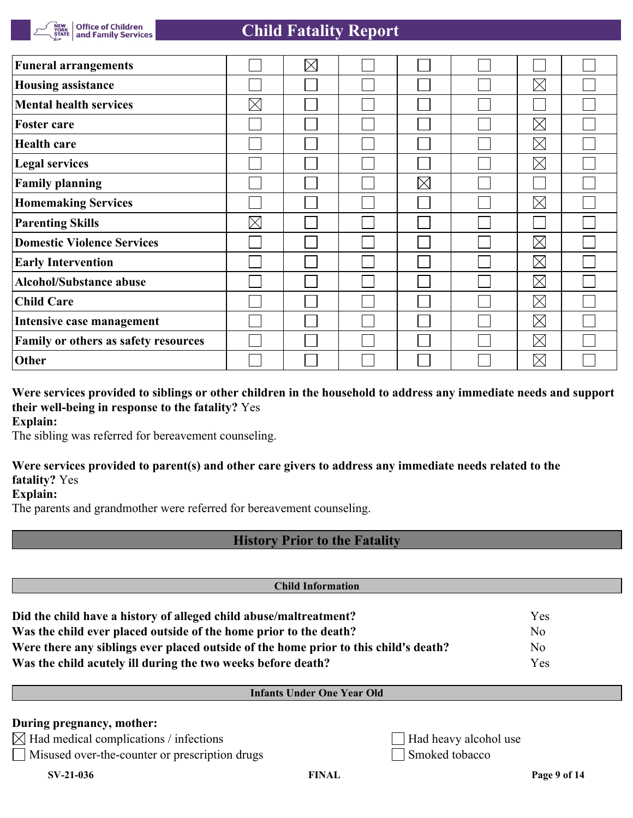

| <b>Funeral arrangements</b>          |             | $\boxtimes$ |             |             |  |
|--------------------------------------|-------------|-------------|-------------|-------------|--|
| <b>Housing assistance</b>            |             |             |             | $\boxtimes$ |  |
| <b>Mental health services</b>        | $\boxtimes$ |             |             |             |  |
| Foster care                          |             |             |             | $\boxtimes$ |  |
| <b>Health care</b>                   |             |             |             | $\boxtimes$ |  |
| <b>Legal services</b>                |             |             |             | $\boxtimes$ |  |
| <b>Family planning</b>               |             |             | $\boxtimes$ |             |  |
| <b>Homemaking Services</b>           |             |             |             | $\boxtimes$ |  |
| <b>Parenting Skills</b>              | $\boxtimes$ |             |             |             |  |
| <b>Domestic Violence Services</b>    |             |             |             | $\boxtimes$ |  |
| <b>Early Intervention</b>            |             |             |             | $\boxtimes$ |  |
| <b>Alcohol/Substance abuse</b>       |             |             |             | $\boxtimes$ |  |
| <b>Child Care</b>                    |             |             |             | $\boxtimes$ |  |
| Intensive case management            |             |             |             | $\boxtimes$ |  |
| Family or others as safety resources |             |             |             | $\boxtimes$ |  |
| Other                                |             |             |             | $\boxtimes$ |  |

**Were services provided to siblings or other children in the household to address any immediate needs and support their well-being in response to the fatality?** Yes **Explain:**

The sibling was referred for bereavement counseling.

### **Were services provided to parent(s) and other care givers to address any immediate needs related to the fatality?** Yes

**Explain:**

The parents and grandmother were referred for bereavement counseling.

### **History Prior to the Fatality**

| <b>Child Information</b>                                                             |                |
|--------------------------------------------------------------------------------------|----------------|
| Did the child have a history of alleged child abuse/maltreatment?                    | Yes            |
| Was the child ever placed outside of the home prior to the death?                    | N <sub>o</sub> |
| Were there any siblings ever placed outside of the home prior to this child's death? | N <sub>o</sub> |
| Was the child acutely ill during the two weeks before death?                         | Yes            |

### **Infants Under One Year Old**

### **During pregnancy, mother:**

 $\boxtimes$  Had medical complications / infections  $\Box$  Had heavy alcohol use

■ Misused over-the-counter or prescription drugs Smoked tobacco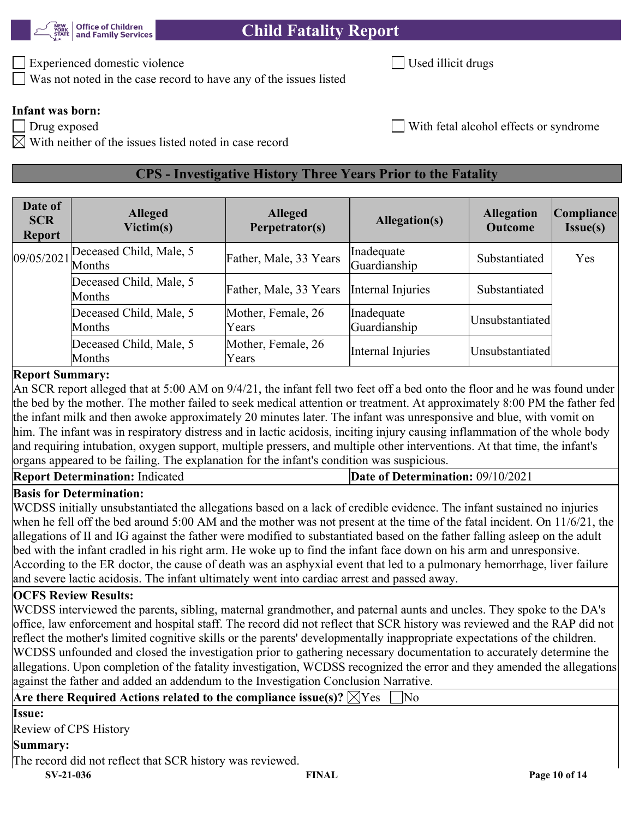

Experienced domestic violence Used illicit drugs and Used illicit drugs

Was not noted in the case record to have any of the issues listed

**Infant was born:**

 $\boxtimes$  With neither of the issues listed noted in case record

# **CPS - Investigative History Three Years Prior to the Fatality**

| Date of<br><b>SCR</b><br><b>Report</b> | <b>Alleged</b><br>Victim(s)       | <b>Alleged</b><br>Perpetrator(s) | Allegation(s)              | <b>Allegation</b><br><b>Outcome</b> | Compliance<br><b>Issue(s)</b> |
|----------------------------------------|-----------------------------------|----------------------------------|----------------------------|-------------------------------------|-------------------------------|
| $.09/05/2021$ Months                   | Deceased Child, Male, 5           | Father, Male, 33 Years           | Inadequate<br>Guardianship | Substantiated                       | Yes                           |
|                                        | Deceased Child, Male, 5<br>Months | Father, Male, 33 Years           | Internal Injuries          | Substantiated                       |                               |
|                                        | Deceased Child, Male, 5<br>Months | Mother, Female, 26<br>Years      | Inadequate<br>Guardianship | Unsubstantiated                     |                               |
|                                        | Deceased Child, Male, 5<br>Months | Mother, Female, 26<br>Years      | Internal Injuries          | Unsubstantiated                     |                               |

### **Report Summary:**

An SCR report alleged that at 5:00 AM on 9/4/21, the infant fell two feet off a bed onto the floor and he was found under the bed by the mother. The mother failed to seek medical attention or treatment. At approximately 8:00 PM the father fed the infant milk and then awoke approximately 20 minutes later. The infant was unresponsive and blue, with vomit on him. The infant was in respiratory distress and in lactic acidosis, inciting injury causing inflammation of the whole body and requiring intubation, oxygen support, multiple pressers, and multiple other interventions. At that time, the infant's organs appeared to be failing. The explanation for the infant's condition was suspicious.

| <b>Report Determination: Indicated</b> | Date of Determination: 09/10/2021 |
|----------------------------------------|-----------------------------------|
|----------------------------------------|-----------------------------------|

# **Basis for Determination:**

WCDSS initially unsubstantiated the allegations based on a lack of credible evidence. The infant sustained no injuries when he fell off the bed around 5:00 AM and the mother was not present at the time of the fatal incident. On 11/6/21, the allegations of II and IG against the father were modified to substantiated based on the father falling asleep on the adult bed with the infant cradled in his right arm. He woke up to find the infant face down on his arm and unresponsive. According to the ER doctor, the cause of death was an asphyxial event that led to a pulmonary hemorrhage, liver failure and severe lactic acidosis. The infant ultimately went into cardiac arrest and passed away.

# **OCFS Review Results:**

WCDSS interviewed the parents, sibling, maternal grandmother, and paternal aunts and uncles. They spoke to the DA's office, law enforcement and hospital staff. The record did not reflect that SCR history was reviewed and the RAP did not reflect the mother's limited cognitive skills or the parents' developmentally inappropriate expectations of the children. WCDSS unfounded and closed the investigation prior to gathering necessary documentation to accurately determine the allegations. Upon completion of the fatality investigation, WCDSS recognized the error and they amended the allegations against the father and added an addendum to the Investigation Conclusion Narrative.

| Are there Required Actions related to the compliance issue(s)? $\boxtimes$ Yes | $\overline{\text{No}}$ |               |
|--------------------------------------------------------------------------------|------------------------|---------------|
| <b>Issue:</b>                                                                  |                        |               |
| Review of CPS History                                                          |                        |               |
| Summary:                                                                       |                        |               |
| The record did not reflect that SCR history was reviewed.                      |                        |               |
| $SV-21-036$                                                                    | <b>FINAL</b>           | Page 10 of 14 |
|                                                                                |                        |               |

Drug exposed **Exposed** Exposed Exposed Exposed Exposed Exposed Exposed Exposed Exposed Exposed Exposed Exposed Exposed Exposed Exposed Exposed Exposed Exposed Exposed Exposed Exposed Exposed Exposed Exposed Exposed Exposed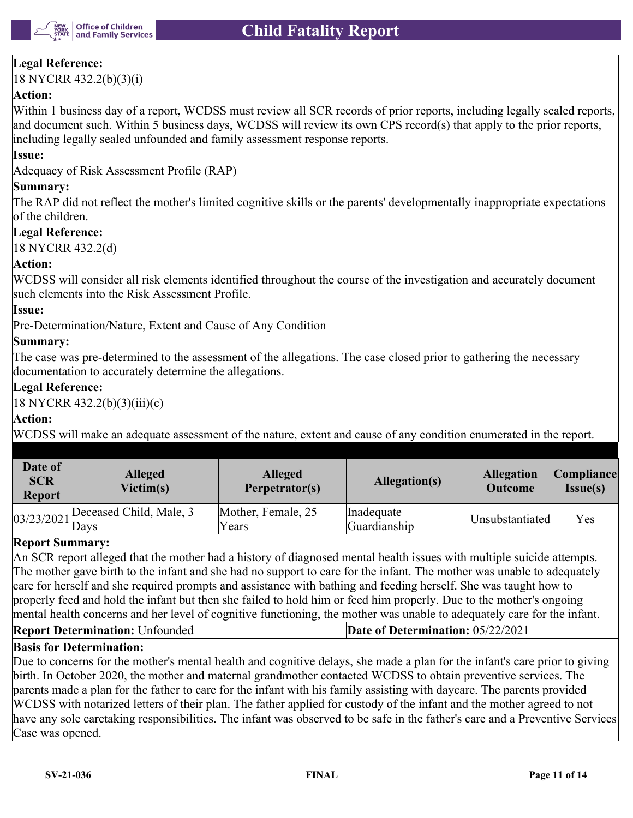

### **Legal Reference:**

18 NYCRR 432.2(b)(3)(i)

### **Action:**

Within 1 business day of a report, WCDSS must review all SCR records of prior reports, including legally sealed reports, and document such. Within 5 business days, WCDSS will review its own CPS record(s) that apply to the prior reports, including legally sealed unfounded and family assessment response reports.

### **Issue:**

Adequacy of Risk Assessment Profile (RAP)

### **Summary:**

The RAP did not reflect the mother's limited cognitive skills or the parents' developmentally inappropriate expectations of the children.

### **Legal Reference:**

18 NYCRR 432.2(d)

### **Action:**

WCDSS will consider all risk elements identified throughout the course of the investigation and accurately document such elements into the Risk Assessment Profile.

### **Issue:**

Pre-Determination/Nature, Extent and Cause of Any Condition

### **Summary:**

The case was pre-determined to the assessment of the allegations. The case closed prior to gathering the necessary documentation to accurately determine the allegations.

### **Legal Reference:**

18 NYCRR 432.2(b)(3)(iii)(c)

### **Action:**

WCDSS will make an adequate assessment of the nature, extent and cause of any condition enumerated in the report.

| Date of<br><b>SCR</b><br><b>Report</b> | <b>Alleged</b><br>Victim(s)          | <b>Alleged</b><br>Perpetrator(s) | Allegation(s)              | <b>Allegation</b><br><b>Outcome</b> | <i>Compliance</i><br><b>Issue(s)</b> |
|----------------------------------------|--------------------------------------|----------------------------------|----------------------------|-------------------------------------|--------------------------------------|
|                                        | $03/23/2021$ Deceased Child, Male, 3 | Mother, Female, 25<br>Years      | Inadequate<br>Guardianship | Unsubstantiated                     | Yes                                  |

### **Report Summary:**

An SCR report alleged that the mother had a history of diagnosed mental health issues with multiple suicide attempts. The mother gave birth to the infant and she had no support to care for the infant. The mother was unable to adequately care for herself and she required prompts and assistance with bathing and feeding herself. She was taught how to properly feed and hold the infant but then she failed to hold him or feed him properly. Due to the mother's ongoing mental health concerns and her level of cognitive functioning, the mother was unable to adequately care for the infant.

# **Report Determination:** Unfounded **Date of Determination:** 05/22/2021

### **Basis for Determination:**

Due to concerns for the mother's mental health and cognitive delays, she made a plan for the infant's care prior to giving birth. In October 2020, the mother and maternal grandmother contacted WCDSS to obtain preventive services. The parents made a plan for the father to care for the infant with his family assisting with daycare. The parents provided WCDSS with notarized letters of their plan. The father applied for custody of the infant and the mother agreed to not have any sole caretaking responsibilities. The infant was observed to be safe in the father's care and a Preventive Services Case was opened.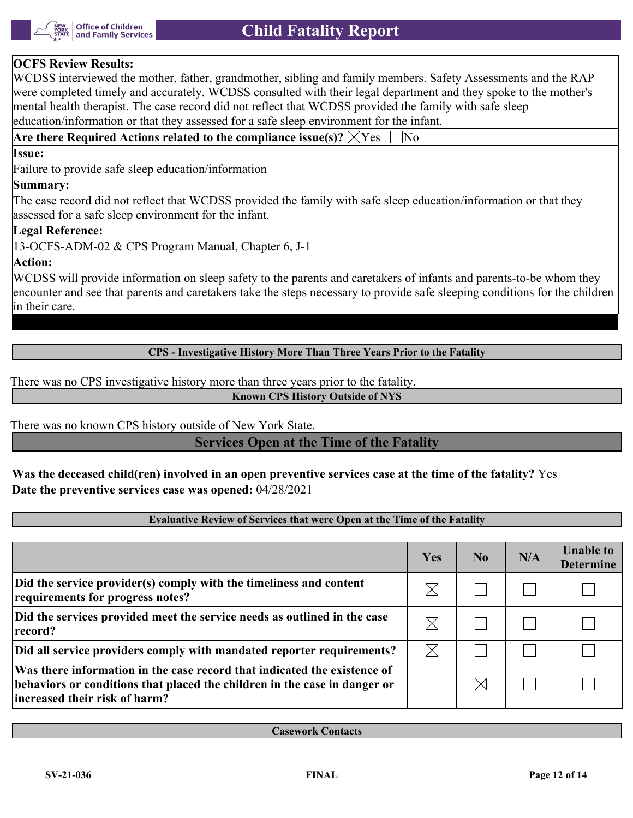

### **OCFS Review Results:**

WCDSS interviewed the mother, father, grandmother, sibling and family members. Safety Assessments and the RAP were completed timely and accurately. WCDSS consulted with their legal department and they spoke to the mother's mental health therapist. The case record did not reflect that WCDSS provided the family with safe sleep education/information or that they assessed for a safe sleep environment for the infant.

Are there Required Actions related to the compliance issue(s)?  $\boxtimes$  Yes  $\Box$  No

### **Issue:**

Failure to provide safe sleep education/information

### **Summary:**

The case record did not reflect that WCDSS provided the family with safe sleep education/information or that they assessed for a safe sleep environment for the infant.

### **Legal Reference:**

13-OCFS-ADM-02 & CPS Program Manual, Chapter 6, J-1

### **Action:**

WCDSS will provide information on sleep safety to the parents and caretakers of infants and parents-to-be whom they encounter and see that parents and caretakers take the steps necessary to provide safe sleeping conditions for the children in their care.

### **CPS - Investigative History More Than Three Years Prior to the Fatality**

There was no CPS investigative history more than three years prior to the fatality.

### **Known CPS History Outside of NYS**

There was no known CPS history outside of New York State.

### **Services Open at the Time of the Fatality**

**Was the deceased child(ren) involved in an open preventive services case at the time of the fatality?** Yes **Date the preventive services case was opened:** 04/28/2021

### **Evaluative Review of Services that were Open at the Time of the Fatality**

|                                                                                                                                                                                         | Yes         | N <sub>0</sub> | N/A | <b>Unable to</b><br><b>Determine</b> |
|-----------------------------------------------------------------------------------------------------------------------------------------------------------------------------------------|-------------|----------------|-----|--------------------------------------|
| Did the service provider(s) comply with the timeliness and content<br>requirements for progress notes?                                                                                  | $\boxtimes$ |                |     |                                      |
| Did the services provided meet the service needs as outlined in the case<br>record?                                                                                                     | $\times$    |                |     |                                      |
| Did all service providers comply with mandated reporter requirements?                                                                                                                   | $\boxtimes$ |                |     |                                      |
| Was there information in the case record that indicated the existence of<br>behaviors or conditions that placed the children in the case in danger or<br>lincreased their risk of harm? |             |                |     |                                      |

**Casework Contacts**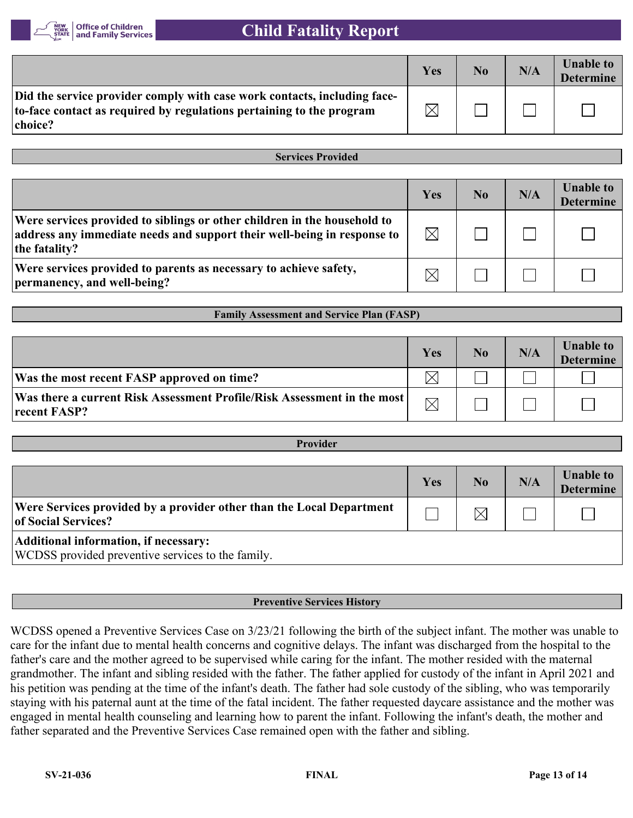

|                                                                                                                                                             | Yes         | N <sub>0</sub> | N/A | <b>Unable to</b><br><b>Determine</b> |
|-------------------------------------------------------------------------------------------------------------------------------------------------------------|-------------|----------------|-----|--------------------------------------|
| Did the service provider comply with case work contacts, including face-<br>to-face contact as required by regulations pertaining to the program<br>choice? | $\boxtimes$ |                |     |                                      |

**Services Provided**

|                                                                                                                                                                      | Yes         | No | N/A | <b>Unable to</b><br><b>Determine</b> |
|----------------------------------------------------------------------------------------------------------------------------------------------------------------------|-------------|----|-----|--------------------------------------|
| Were services provided to siblings or other children in the household to<br>address any immediate needs and support their well-being in response to<br>the fatality? | $\boxtimes$ |    |     |                                      |
| Were services provided to parents as necessary to achieve safety,<br>permanency, and well-being?                                                                     |             |    |     |                                      |

**Family Assessment and Service Plan (FASP)**

|                                                                                           | Yes         | N <sub>0</sub> | N/A | <b>Unable to</b><br><b>Determine</b> |
|-------------------------------------------------------------------------------------------|-------------|----------------|-----|--------------------------------------|
| Was the most recent FASP approved on time?                                                | 'X          |                |     |                                      |
| Was there a current Risk Assessment Profile/Risk Assessment in the most  <br>recent FASP? | $\boxtimes$ |                |     |                                      |

| <b>Provider</b>                                                                             |     |                |     |                                      |  |
|---------------------------------------------------------------------------------------------|-----|----------------|-----|--------------------------------------|--|
|                                                                                             |     |                |     |                                      |  |
|                                                                                             | Yes | N <sub>0</sub> | N/A | <b>Unable to</b><br><b>Determine</b> |  |
| Were Services provided by a provider other than the Local Department<br>of Social Services? |     | $\times$       |     |                                      |  |
| Additional information, if necessary:<br>WCDSS provided preventive services to the family.  |     |                |     |                                      |  |

### **Preventive Services History**

WCDSS opened a Preventive Services Case on 3/23/21 following the birth of the subject infant. The mother was unable to care for the infant due to mental health concerns and cognitive delays. The infant was discharged from the hospital to the father's care and the mother agreed to be supervised while caring for the infant. The mother resided with the maternal grandmother. The infant and sibling resided with the father. The father applied for custody of the infant in April 2021 and his petition was pending at the time of the infant's death. The father had sole custody of the sibling, who was temporarily staying with his paternal aunt at the time of the fatal incident. The father requested daycare assistance and the mother was engaged in mental health counseling and learning how to parent the infant. Following the infant's death, the mother and father separated and the Preventive Services Case remained open with the father and sibling.